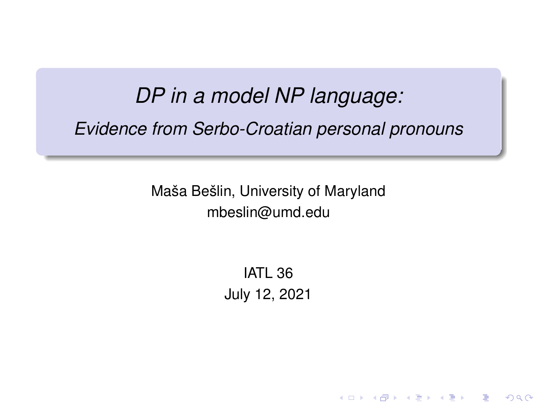# *DP in a model NP language: Evidence from Serbo-Croatian personal pronouns*

Maša Bešlin, University of Maryland mbeslin@umd.edu

> IATL 36 July 12, 2021

> > ◆ロト→ 伊ト→ ◆唐ト→ (唐) ― 唐 …

 $299$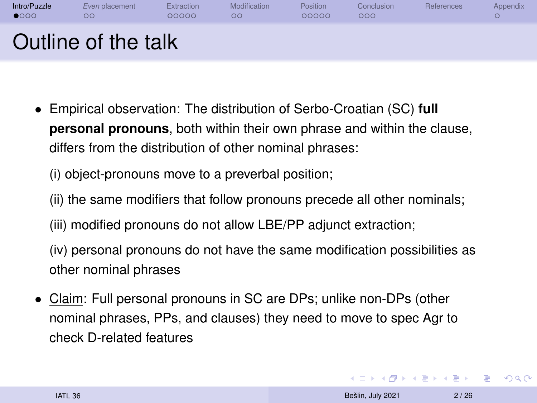<span id="page-1-0"></span>

- Empirical observation: The distribution of Serbo-Croatian (SC) **full personal pronouns**, both within their own phrase and within the clause, differs from the distribution of other nominal phrases:
	- (i) object-pronouns move to a preverbal position;
	- (ii) the same modifiers that follow pronouns precede all other nominals;
	- (iii) modified pronouns do not allow LBE/PP adjunct extraction;

(iv) personal pronouns do not have the same modification possibilities as other nominal phrases

• Claim: Full personal pronouns in SC are DPs; unlike non-DPs (other nominal phrases, PPs, and clauses) they need to move to spec Agr to check D-related features

**KORK (FRANCISCO)**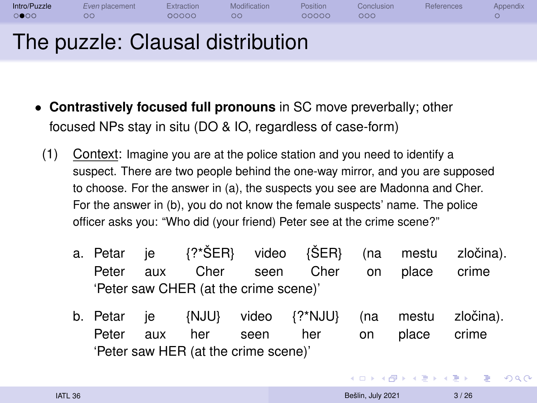#### [Intro/Puzzle](#page-1-0) *Even* [placement](#page-7-0) [Extraction](#page-9-0) [Modification](#page-15-0) [Position](#page-17-0) [Conclusion](#page-22-0) [References](#page-25-0) [Appendix](#page-28-0) 00000 00000  $000$  $\Omega$ The puzzle: Clausal distribution

- **Contrastively focused full pronouns** in SC move preverbally; other focused NPs stay in situ (DO & IO, regardless of case-form)
- (1) Context: Imagine you are at the police station and you need to identify a suspect. There are two people behind the one-way mirror, and you are supposed to choose. For the answer in (a), the suspects you see are Madonna and Cher. For the answer in (b), you do not know the female suspects' name. The police officer asks you: "Who did (your friend) Peter see at the crime scene?"
	- a. Petar Peter je aux {?\*ŠER} Cher video seen {ŠER} Cher (na on mestu place zločina). crime 'Peter saw CHER (at the crime scene)'
	- b. Petar Peter je aux {NJU} her video seen {?\*NJU} her (na on mestu place zločina). crime 'Peter saw HER (at the crime scene)'

イロメ イ何 メメ ミメイヨメー

Ξ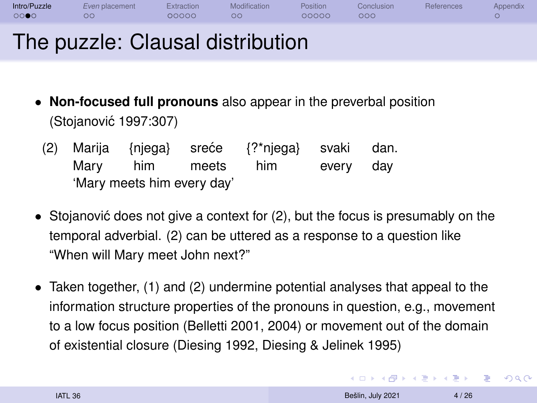| Intro/Puzzle | Even placement | Extraction | Modification | <b>Position</b> | <b>Conclusion</b> | <b>References</b> | Appendix                 |
|--------------|----------------|------------|--------------|-----------------|-------------------|-------------------|--------------------------|
| 000C         | <b>OC</b>      | 00000      | ОC           | 20000           | ၁ဝဝ               |                   | $\overline{\phantom{a}}$ |
|              | $\sim$         |            | . .          |                 |                   |                   |                          |

## The puzzle: Clausal distribution

- **Non-focused full pronouns** also appear in the preverbal position [\(Stojanovic 1997:](#page-27-0)307) ´
	- (2) Marija Mary {njega} him sreće meets {?\*njega} him svaki every dan. day 'Mary meets him every day'
- Stojanović does not give a context for  $(2)$ , but the focus is presumably on the temporal adverbial. (2) can be uttered as a response to a question like "When will Mary meet John next?"
- Taken together, (1) and (2) undermine potential analyses that appeal to the information structure properties of the pronouns in question, e.g., movement to a low focus position [\(Belletti 2001,](#page-25-1) [2004\)](#page-25-2) or movement out of the domain of existential closure [\(Diesing 1992,](#page-26-0) [Diesing & Jelinek 1995\)](#page-26-1)

**KORK (FRANCISCO)**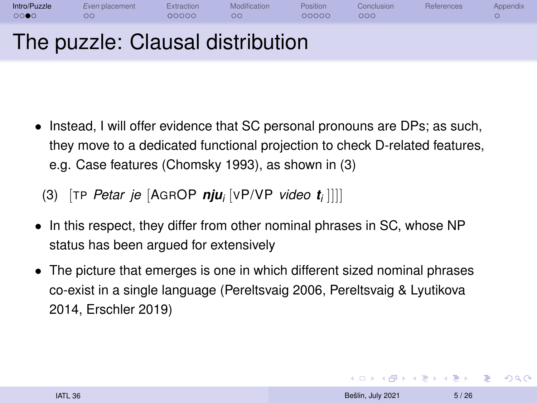| Intro/Puzzle<br>0000 | Even placement<br>ОC             | Extraction<br>00000 | Modification<br>ററ | Position<br>00000 | Conclusion<br>000 | References | Appendix |
|----------------------|----------------------------------|---------------------|--------------------|-------------------|-------------------|------------|----------|
|                      | The puzzle: Clausal distribution |                     |                    |                   |                   |            |          |

• Instead, I will offer evidence that SC personal pronouns are DPs; as such, they move to a dedicated functional projection to check D-related features, e.g. Case features [\(Chomsky 1993\)](#page-25-3), as shown in (3)

(3) [TP *Petar je* [AGROP *nju<sup>i</sup>* [VP/VP *video t<sup>i</sup>* ]]]]

- In this respect, they differ from other nominal phrases in SC, whose NP status has been argued for extensively
- The picture that emerges is one in which different sized nominal phrases co-exist in a single language [\(Pereltsvaig 2006,](#page-26-2) [Pereltsvaig & Lyutikova](#page-26-3) [2014,](#page-26-3) [Erschler 2019\)](#page-26-4)

**KORK ERREST ADAMS**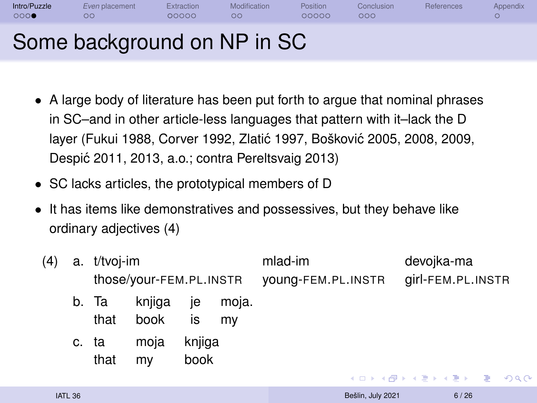| Intro/Puzzle<br>000 | Even placement<br>ററ        | Extraction<br>00000 | Modification<br>ററ | Position<br>00000 | Conclusion<br>000 | References | Appendix |
|---------------------|-----------------------------|---------------------|--------------------|-------------------|-------------------|------------|----------|
|                     | Some background on NP in SC |                     |                    |                   |                   |            |          |

- A large body of literature has been put forth to argue that nominal phrases in SC–and in other article-less languages that pattern with it–lack the D layer [\(Fukui 1988,](#page-26-5) [Corver 1992,](#page-25-4) Zlatić 1997, [Boškovi](#page-25-5)ć 2005, [2008,](#page-25-6) [2009,](#page-25-7) [Despic 2011,](#page-25-8) [2013,](#page-25-9) a.o.; contra [Pereltsvaig 2013\)](#page-26-6) ´
- SC lacks articles, the prototypical members of D
- It has items like demonstratives and possessives, but they behave like ordinary adjectives (4)

| (4) | a. t/tvoi-im  | those/your-FEM.PL.INSTR |                |             | mlad-im<br>young-FEM.PL.INSTR |                        | devojka-ma<br>girl-FEM.PL.INSTR |  |
|-----|---------------|-------------------------|----------------|-------------|-------------------------------|------------------------|---------------------------------|--|
|     | b. Ta<br>that | knjiga<br>book is       | je             | moja.<br>mv |                               |                        |                                 |  |
|     | c. ta<br>that | moja<br>my              | knjiga<br>book |             |                               | KED KAP KED KED E YORK |                                 |  |
|     |               |                         |                |             |                               |                        |                                 |  |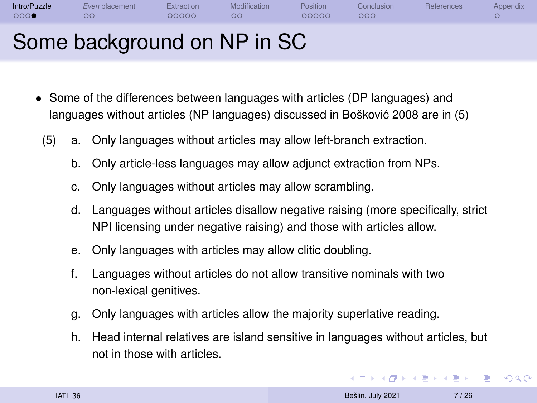| Intro/Puzzle<br>000 | Even placement<br>ററ        | Extraction<br>00000 | Modification<br>ററ | <b>Position</b><br>00000 | Conclusion<br>000 | References | <b>Appendix</b> |
|---------------------|-----------------------------|---------------------|--------------------|--------------------------|-------------------|------------|-----------------|
|                     | Some background on NP in SC |                     |                    |                          |                   |            |                 |

- Some of the differences between languages with articles (DP languages) and languages without articles (NP languages) discussed in [Boškovic 2008](#page-25-6) are in (5) ´
	- (5) a. Only languages without articles may allow left-branch extraction.
		- b. Only article-less languages may allow adjunct extraction from NPs.
		- c. Only languages without articles may allow scrambling.
		- d. Languages without articles disallow negative raising (more specifically, strict NPI licensing under negative raising) and those with articles allow.
		- e. Only languages with articles may allow clitic doubling.
		- f. Languages without articles do not allow transitive nominals with two non-lexical genitives.
		- g. Only languages with articles allow the majority superlative reading.
		- h. Head internal relatives are island sensitive in languages without articles, but not in those with articles.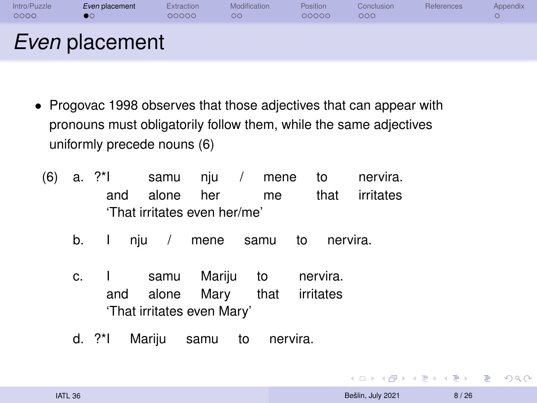<span id="page-7-0"></span>

| Intro/Puzzle<br>0000 | Even placement        | Extraction<br>00000 | Modification<br>ОC | <b>Position</b><br>00000 | Conclusion<br>000 | <b>References</b> | Appendix |
|----------------------|-----------------------|---------------------|--------------------|--------------------------|-------------------|-------------------|----------|
|                      | <i>Even</i> placement |                     |                    |                          |                   |                   |          |

- [Progovac 1998](#page-27-2) observes that those adjectives that can appear with pronouns must obligatorily follow them, while the same adjectives uniformly precede nouns (6)
	- (6) a. ?\*I and samu alone nju her / mene me to that nervira. irritates 'That irritates even her/me'
		- b. I nju / mene samu to nervira.
		- c. I and samu alone Mariju Mary to that nervira. irritates 'That irritates even Mary'
		- d. ?\*I Mariju samu to nervira.

 $\equiv$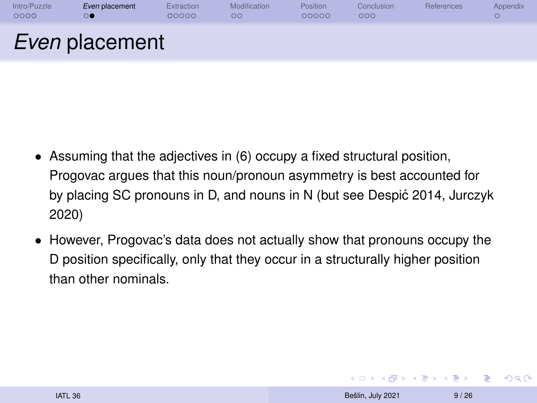| Intro/Puzzle<br>0000 | Even placement        | Extraction<br>00000 | Modification<br>oо | <b>Position</b><br>00000 | Conclusion<br>000 | References | <b>Appendix</b> |
|----------------------|-----------------------|---------------------|--------------------|--------------------------|-------------------|------------|-----------------|
|                      | <i>Even</i> placement |                     |                    |                          |                   |            |                 |

- Assuming that the adjectives in (6) occupy a fixed structural position, Progovac argues that this noun/pronoun asymmetry is best accounted for by placing SC pronouns in D, and nouns in N (but see [Despic 2014,](#page-26-7) [Jurczyk](#page-26-8) ´ [2020\)](#page-26-8)
- However, Progovac's data does not actually show that pronouns occupy the D position specifically, only that they occur in a structurally higher position than other nominals.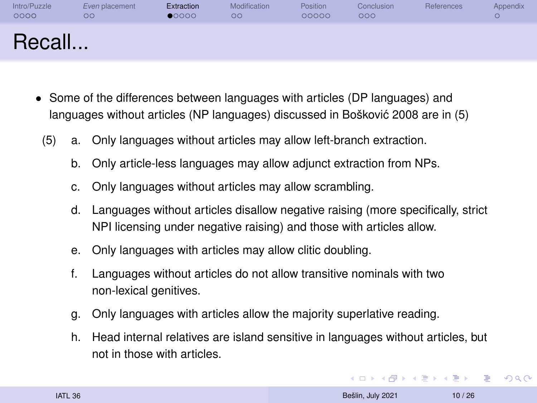<span id="page-9-0"></span>

| Intro/Puzzle | Even placement | Extraction | Modification | <b>Position</b> | Conclusion | References | <b>Appendix</b> |
|--------------|----------------|------------|--------------|-----------------|------------|------------|-----------------|
| 0000         | OΟ             | 00000      | ОC           | 00000           | 000        |            | v.              |
| Recall       |                |            |              |                 |            |            |                 |

- Some of the differences between languages with articles (DP languages) and languages without articles (NP languages) discussed in [Boškovic 2008](#page-25-6) are in (5) ´
	- (5) a. Only languages without articles may allow left-branch extraction.
		- b. Only article-less languages may allow adjunct extraction from NPs.
		- c. Only languages without articles may allow scrambling.
		- d. Languages without articles disallow negative raising (more specifically, strict NPI licensing under negative raising) and those with articles allow.
		- e. Only languages with articles may allow clitic doubling.
		- f. Languages without articles do not allow transitive nominals with two non-lexical genitives.
		- g. Only languages with articles allow the majority superlative reading.
		- h. Head internal relatives are island sensitive in languages without articles, but not in those with articles.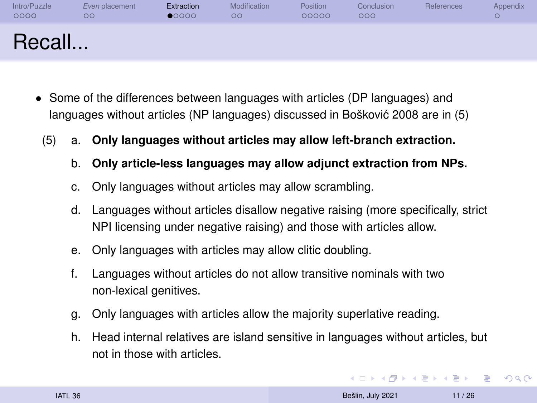| Intro/Puzzle | Even placement | Extraction | Modification | <b>Position</b> | Conclusion | References | <b>Appendix</b>       |
|--------------|----------------|------------|--------------|-----------------|------------|------------|-----------------------|
| 0000         | $\circ$        | 00000      | $\circ$      | 00000           | 000        |            | $\tilde{\phantom{a}}$ |
| Recall       |                |            |              |                 |            |            |                       |

- Some of the differences between languages with articles (DP languages) and languages without articles (NP languages) discussed in [Boškovic 2008](#page-25-6) are in (5) ´
	- (5) a. **Only languages without articles may allow left-branch extraction.**
		- b. **Only article-less languages may allow adjunct extraction from NPs.**
		- c. Only languages without articles may allow scrambling.
		- d. Languages without articles disallow negative raising (more specifically, strict NPI licensing under negative raising) and those with articles allow.
		- e. Only languages with articles may allow clitic doubling.
		- f. Languages without articles do not allow transitive nominals with two non-lexical genitives.
		- g. Only languages with articles allow the majority superlative reading.
		- h. Head internal relatives are island sensitive in languages without articles, but not in those with articles.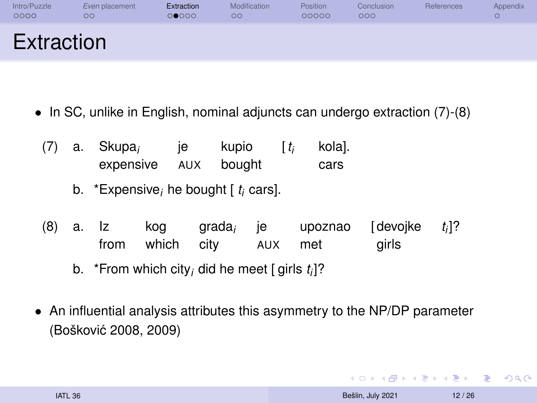| Intro/Puzzle<br>0000 | Even placement<br>OΟ | Extraction<br>00000 | Modification<br>ОC | <b>Position</b><br>00000 | Conclusion<br>000 | References | Appendix |
|----------------------|----------------------|---------------------|--------------------|--------------------------|-------------------|------------|----------|
| Extraction           |                      |                     |                    |                          |                   |            |          |

- In SC, unlike in English, nominal adjuncts can undergo extraction (7)-(8)
	- (7) a. Skupa*<sup>i</sup>* expensive AUX bought ie ie de een van die ste kupio  $\lceil t_i \rceil$ *<sup>i</sup>* kola]. cars
		- b. \*Expensive*<sup>i</sup>* he bought [ *t <sup>i</sup>* cars].
	- (8) a. Iz from kog grada*<sup>i</sup>* je upoznao which city AUX met [devojke girls *t i* ]?
		- b. \*From which city*<sup>i</sup>* did he meet [ girls *t i* ]?
- An influential analysis attributes this asymmetry to the NP/DP parameter (Boškovic 2008, 2009) ´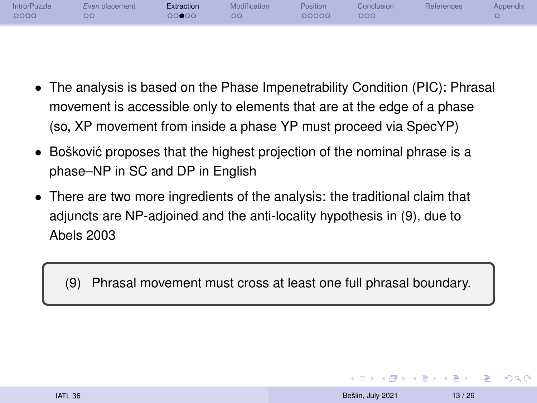| Intro/Puzzle<br>0000 | Even placement<br>OΟ | Extraction<br>00000 | Modification<br>OC | Position<br>00000 | Conclusion <sup>1</sup><br>000 | References | Appendix |
|----------------------|----------------------|---------------------|--------------------|-------------------|--------------------------------|------------|----------|
|                      |                      |                     |                    |                   |                                |            |          |

- The analysis is based on the Phase Impenetrability Condition (PIC): Phrasal movement is accessible only to elements that are at the edge of a phase (so, XP movement from inside a phase YP must proceed via SpecYP)
- Bošković proposes that the highest projection of the nominal phrase is a phase–NP in SC and DP in English
- There are two more ingredients of the analysis: the traditional claim that adjuncts are NP-adjoined and the anti-locality hypothesis in (9), due to [Abels 2003](#page-25-10)

(9) Phrasal movement must cross at least one full phrasal boundary.

**KORK (FRAGE) A BY** 

 $2990$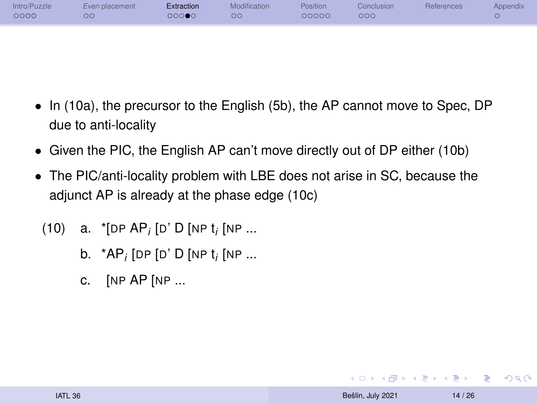| Intro/Puzzle<br>0000 | Even placement<br>ററ | Extraction<br>00000 | Modification<br>$\circ$ | <b>Position</b><br>00000 | Conclusion<br>000 | <b>References</b> | <b>Appendix</b> |
|----------------------|----------------------|---------------------|-------------------------|--------------------------|-------------------|-------------------|-----------------|
|                      |                      |                     |                         |                          |                   |                   |                 |

- In (10a), the precursor to the English (5b), the AP cannot move to Spec, DP due to anti-locality
- Given the PIC, the English AP can't move directly out of DP either (10b)
- The PIC/anti-locality problem with LBE does not arise in SC, because the adjunct AP is already at the phase edge (10c)
	- (10) a. \*[DP AP*<sup>i</sup>* [D' D [NP t *i* [NP ...
		- b. \*AP*<sup>i</sup>* [DP [D' D [NP t *i* [NP ...
		- c. [NP AP [NP ...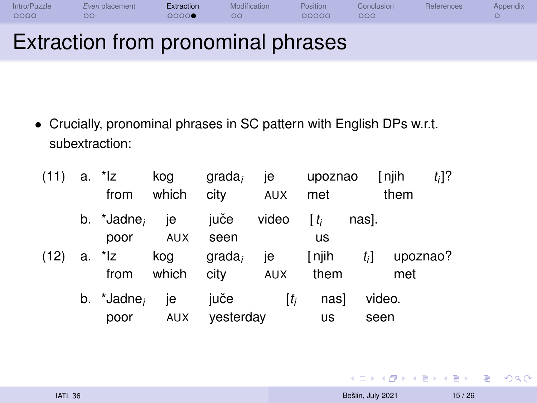| 0000         | ററ             | 00000      | OC.          | 00000           | OOC        |            |          |
|--------------|----------------|------------|--------------|-----------------|------------|------------|----------|
| Intro/Puzzle | Even placement | Extraction | Modification | <b>Position</b> | Conclusion | References | Appendix |

#### Extraction from pronominal phrases

• Crucially, pronominal phrases in SC pattern with English DPs w.r.t. subextraction:

| (11) | a. *Iz<br>from                     | kog<br>which | $qrada_i$<br>city | je<br>AUX           | upoznao<br>met            |       | [njih<br>them   | $t_i$ ]? |
|------|------------------------------------|--------------|-------------------|---------------------|---------------------------|-------|-----------------|----------|
|      | b. $^*$ Jadne <sub>i</sub><br>poor | ie<br>AUX    | juče<br>seen      | video               | $\lceil t_i \rceil$<br>us | nasl. |                 |          |
| (12) | a. *Iz<br>from                     | kog<br>which | $qrada_i$<br>city | ie<br>AUX           | $[$ njih<br>them          | $t_i$ | upoznao?<br>met |          |
|      | b. $*$ Jadne,                      | ie           | juče              | $\lceil t_i \rceil$ | nasl                      |       | video.          |          |
|      | poor                               | <b>AUX</b>   | vesterday         |                     | us                        |       | seen            |          |

KID KARD KED KED E YORA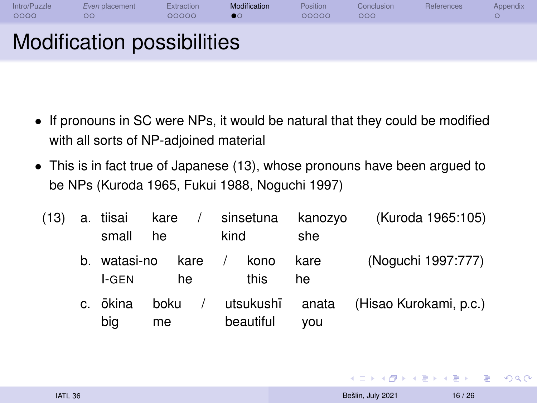<span id="page-15-0"></span>

| Intro/Puzzle<br>0000 | Even placement<br>OΟ       | Extraction<br>00000 | Modification | <b>Position</b><br>00000 | Conclusion<br>000 | References | Appendix |
|----------------------|----------------------------|---------------------|--------------|--------------------------|-------------------|------------|----------|
|                      | Modification possibilities |                     |              |                          |                   |            |          |

- If pronouns in SC were NPs, it would be natural that they could be modified with all sorts of NP-adjoined material
- This is in fact true of Japanese (13), whose pronouns have been argued to be NPs [\(Kuroda 1965,](#page-26-9) [Fukui 1988,](#page-26-5) [Noguchi 1997\)](#page-26-10)

| (13) | a. tiisai<br>small    | kare<br>he |    | $\sim$ $\sim$ $\sim$ | kind | sinsetuna              | kanozyo<br>she | (Kuroda 1965:105)      |
|------|-----------------------|------------|----|----------------------|------|------------------------|----------------|------------------------|
|      | b. watasi-no<br>l-GEN |            | he | kare /               |      | kono<br>this           | kare<br>he     | (Noguchi 1997:777)     |
|      | c. ōkina<br>big       | boku<br>me |    |                      |      | utsukushī<br>beautiful | anata<br>vou   | (Hisao Kurokami, p.c.) |

KID KARD KED KED E YORA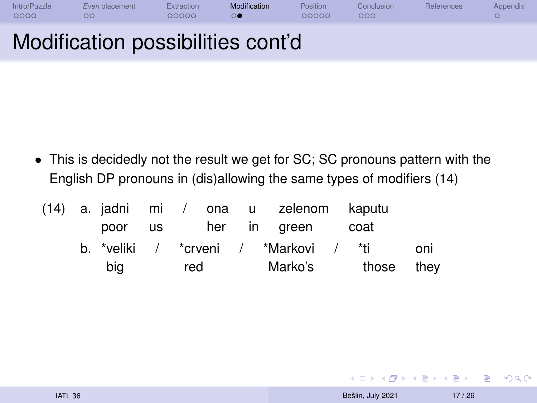| Intro/Puzzle<br>0000 | Even placement<br>OΟ              | Extraction<br>00000 | Modification | Position<br>00000 | Conclusion<br>000 | <b>References</b> | Appendix |
|----------------------|-----------------------------------|---------------------|--------------|-------------------|-------------------|-------------------|----------|
|                      | Modification possibilities cont'd |                     |              |                   |                   |                   |          |

• This is decidedly not the result we get for SC; SC pronouns pattern with the English DP pronouns in (dis)allowing the same types of modifiers (14)

|  |     |     |  | (14) a. jadni mi / ona u zelenom kaputu |      |            |
|--|-----|-----|--|-----------------------------------------|------|------------|
|  |     |     |  | poor us her in green                    | coat |            |
|  |     |     |  | b. *veliki / *crveni / *Markovi / *ti   |      | oni        |
|  | big | red |  | Marko's                                 |      | those they |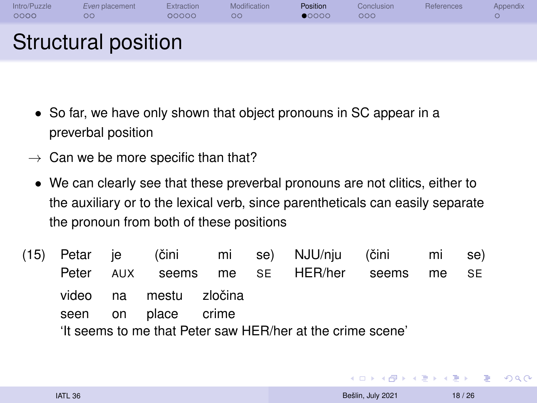<span id="page-17-0"></span>

| Intro/Puzzle<br>0000 | Even placement<br>$\circ$ | Extraction<br>00000 | Modification<br>ОC | <b>Position</b><br>$\bullet$ 0000 | Conclusion<br>000 | References | Appendix |
|----------------------|---------------------------|---------------------|--------------------|-----------------------------------|-------------------|------------|----------|
|                      | Structural position       |                     |                    |                                   |                   |            |          |

- So far, we have only shown that object pronouns in SC appear in a preverbal position
- $\rightarrow$  Can we be more specific than that?
- We can clearly see that these preverbal pronouns are not clitics, either to the auxiliary or to the lexical verb, since parentheticals can easily separate the pronoun from both of these positions
- (15) Petar Peter je AUX (čini seems mi me se) SE NJU/nju HER/her (čini seems mi me se) SE video seen na on mestu place zločina crime 'It seems to me that Peter saw HER/her at the crime scene'

 $\left\{ \begin{array}{ccc} \square & \times & \overline{C} & \times \end{array} \right. \left\{ \begin{array}{ccc} \square & \times & \times & \overline{C} & \times \end{array} \right.$ 

 $\Rightarrow$  $QQ$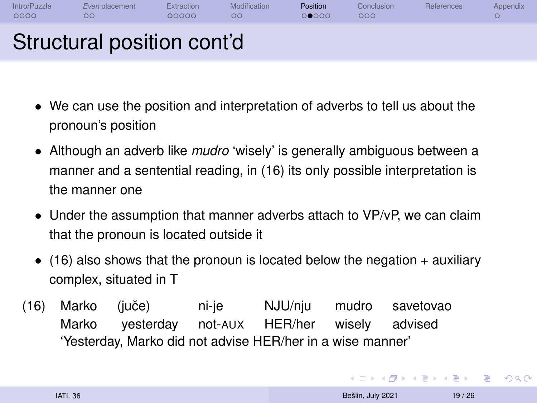| Intro/Puzzle<br>0000 | Even placement<br>ററ       | Extraction<br>00000 | Modification<br>ററ | Position<br>00000 | Conclusion<br>000 | References | Appendix |
|----------------------|----------------------------|---------------------|--------------------|-------------------|-------------------|------------|----------|
|                      | Structural position cont'd |                     |                    |                   |                   |            |          |

- We can use the position and interpretation of adverbs to tell us about the pronoun's position
- Although an adverb like *mudro* 'wisely' is generally ambiguous between a manner and a sentential reading, in (16) its only possible interpretation is the manner one
- Under the assumption that manner adverbs attach to VP/vP, we can claim that the pronoun is located outside it
- $\bullet$  (16) also shows that the pronoun is located below the negation  $+$  auxiliary complex, situated in T
- (16) Marko Marko (juče) yesterday ni-je not-AUX NJU/nju HER/her mudro wisely savetovao advised 'Yesterday, Marko did not advise HER/her in a wise manner'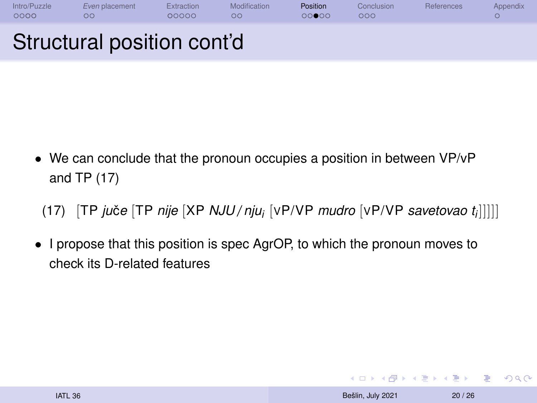| Intro/Puzzle<br>0000 | Even placement<br>OΟ       | Extraction<br>00000 | Modification<br>ററ | <b>Position</b><br>00000 | Conclusion<br>000 | References | Appendix |
|----------------------|----------------------------|---------------------|--------------------|--------------------------|-------------------|------------|----------|
|                      | Structural position cont'd |                     |                    |                          |                   |            |          |

• We can conclude that the pronoun occupies a position in between VP/vP and TP (17)

(17) [TP *ju*če [TP *nije* [XP *NJU / nju<sub>i</sub>* [vP/VP *mudro* [vP/VP *savetovao t<sub>i</sub>*]]]]]

• I propose that this position is spec AgrOP, to which the pronoun moves to check its D-related features

**KORK ERREST ADAMS**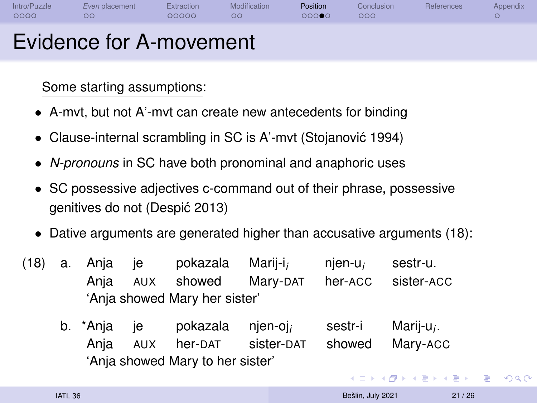| Intro/Puzzle<br>0000 | Even placement<br>$\circ$ | Extraction<br>00000 | Modification<br>ОC | Position<br>00000 | Conclusion<br>000 | <b>References</b> | Appendix |
|----------------------|---------------------------|---------------------|--------------------|-------------------|-------------------|-------------------|----------|
|                      | Evidence for A-movement   |                     |                    |                   |                   |                   |          |

Some starting assumptions:

- A-mvt, but not A'-mvt can create new antecedents for binding
- Clause-internal scrambling in SC is A'-mvt (Stojanović 1994)
- *N-pronouns* in SC have both pronominal and anaphoric uses
- SC possessive adjectives c-command out of their phrase, possessive genitives do not [\(Despic 2013\)](#page-25-9) ´
- Dative arguments are generated higher than accusative arguments (18):
- (18) a. Anja Anja je AUX pokazala showed Marij-i*<sup>i</sup>* Mary-DAT njen-u*<sup>i</sup>* her-ACC sestr-u. sister-ACC 'Anja showed Mary her sister'
	- b. \*Anja Anja je AUX pokazala her-DAT njen-oj*<sup>i</sup>* sister-DAT sestr-i showed Marij-u*<sup>i</sup>* . Mary-ACC 'Ania showed Mary to her sister'

 $\equiv$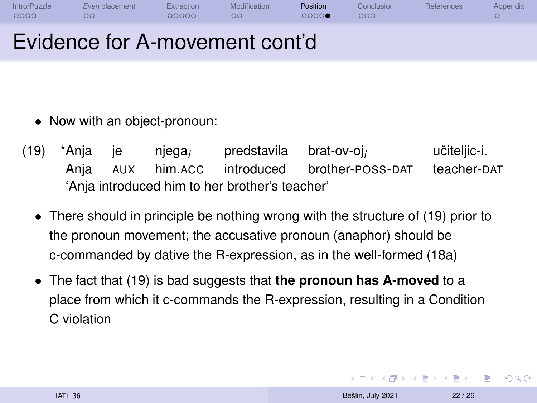| Intro/Puzzle<br>0000 | Even placement                 | Extraction<br>00000 | Modification | Position<br>റററെ | Conclusion<br>200 | <b>References</b> | Appendix |
|----------------------|--------------------------------|---------------------|--------------|------------------|-------------------|-------------------|----------|
|                      | Evidence for A-movement cont'd |                     |              |                  |                   |                   |          |

- Now with an object-pronoun:
- (19) \*Anja Anja je AUX njega*<sup>i</sup>* him.ACC introduced predstavila brat-ov-oj*<sup>i</sup>* brother-POSS-DAT učiteljic-i. teacher-DAT 'Anja introduced him to her brother's teacher'
	- There should in principle be nothing wrong with the structure of (19) prior to the pronoun movement; the accusative pronoun (anaphor) should be c-commanded by dative the R-expression, as in the well-formed (18a)
	- The fact that (19) is bad suggests that **the pronoun has A-moved** to a place from which it c-commands the R-expression, resulting in a Condition C violation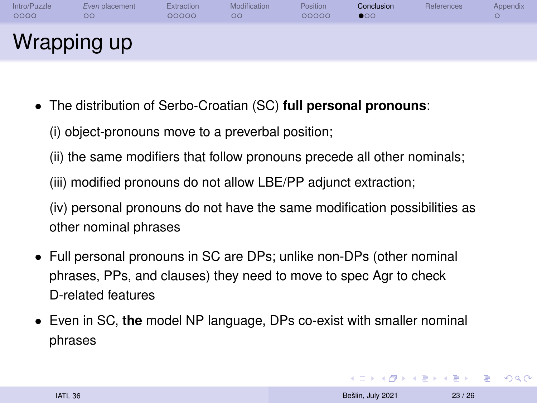<span id="page-22-0"></span>

| Intro/Puzzle<br>0000 | Even placement<br>OΟ | Extraction<br>00000 | Modification<br>OΟ | <b>Position</b><br>00000 | Conclusion<br>$\bullet$ 00 | References | Appendix |
|----------------------|----------------------|---------------------|--------------------|--------------------------|----------------------------|------------|----------|
|                      | Wrapping up          |                     |                    |                          |                            |            |          |

- The distribution of Serbo-Croatian (SC) **full personal pronouns**:
	- (i) object-pronouns move to a preverbal position;
	- (ii) the same modifiers that follow pronouns precede all other nominals;
	- (iii) modified pronouns do not allow LBE/PP adjunct extraction;

(iv) personal pronouns do not have the same modification possibilities as other nominal phrases

- Full personal pronouns in SC are DPs; unlike non-DPs (other nominal phrases, PPs, and clauses) they need to move to spec Agr to check D-related features
- Even in SC, **the** model NP language, DPs co-exist with smaller nominal phrases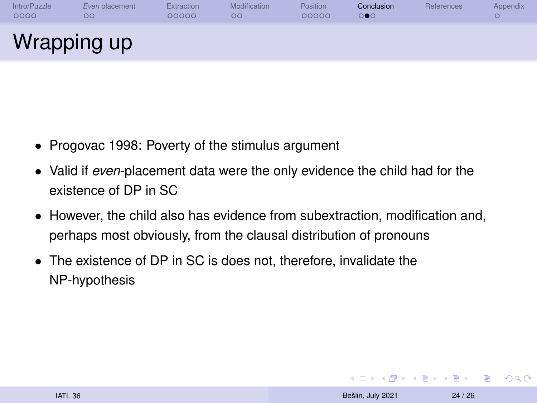| Intro/Puzzle | Even placement | Extraction | Modification | <b>Position</b> | Conclusion | References | Appendix |
|--------------|----------------|------------|--------------|-----------------|------------|------------|----------|
| 0000         | OΟ             | 00000      | ОC           | 00000           | 000        |            | O        |
| Wrapping up  |                |            |              |                 |            |            |          |

- [Progovac 1998:](#page-27-2) Poverty of the stimulus argument
- Valid if *even*-placement data were the only evidence the child had for the existence of DP in SC
- However, the child also has evidence from subextraction, modification and, perhaps most obviously, from the clausal distribution of pronouns
- The existence of DP in SC is does not, therefore, invalidate the NP-hypothesis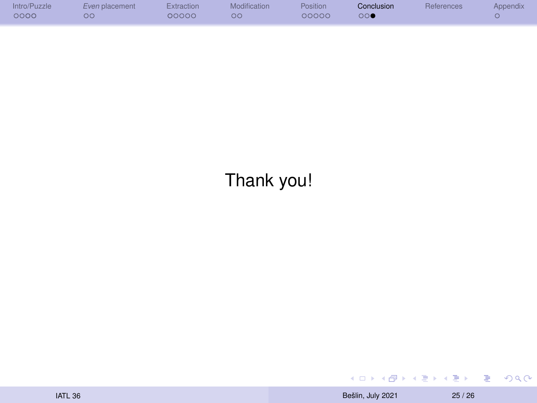| Intro/Puzzle | Even placement | Extraction | Modification | Position | Conclusion | References | Appendix |
|--------------|----------------|------------|--------------|----------|------------|------------|----------|
| 0000         | OC.            | 00000      | ОC           | 00000    | 000        |            |          |
|              |                |            |              |          |            |            |          |

#### Thank you!

 $E$   $\Omega$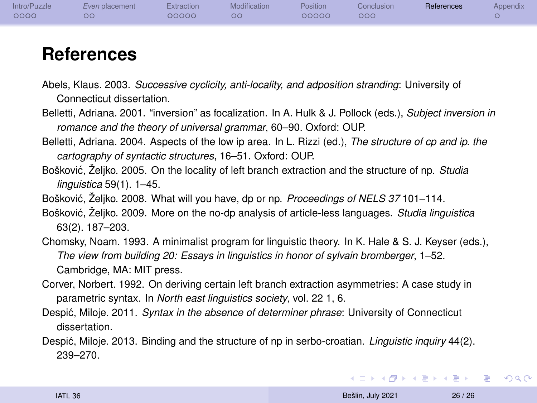<span id="page-25-0"></span>

| Intro/Puzzle | Even placement | Extraction | Modification | Position | Conclusion | References | Appendix |
|--------------|----------------|------------|--------------|----------|------------|------------|----------|
| 0000         | оc             | 00000      | ΟŌ           | 00000    | ೦೦೦        |            |          |

#### **References**

- <span id="page-25-10"></span>Abels, Klaus. 2003. *Successive cyclicity, anti-locality, and adposition stranding*: University of Connecticut dissertation.
- <span id="page-25-1"></span>Belletti, Adriana. 2001. "inversion" as focalization. In A. Hulk & J. Pollock (eds.), *Subject inversion in romance and the theory of universal grammar*, 60–90. Oxford: OUP.
- <span id="page-25-2"></span>Belletti, Adriana. 2004. Aspects of the low ip area. In L. Rizzi (ed.), *The structure of cp and ip. the cartography of syntactic structures*, 16–51. Oxford: OUP.
- <span id="page-25-5"></span>Bošković, Željko. 2005. On the locality of left branch extraction and the structure of np. *Studia linguistica* 59(1). 1–45.
- <span id="page-25-6"></span>Bošković, Želiko. 2008. What will you have, dp or np. Proceedings of NELS 37101-114.
- <span id="page-25-7"></span>Boškovic, Željko. 2009. More on the no-dp analysis of article-less languages. ´ *Studia linguistica* 63(2). 187–203.
- <span id="page-25-3"></span>Chomsky, Noam. 1993. A minimalist program for linguistic theory. In K. Hale & S. J. Keyser (eds.), *The view from building 20: Essays in linguistics in honor of sylvain bromberger*, 1–52. Cambridge, MA: MIT press.
- <span id="page-25-4"></span>Corver, Norbert. 1992. On deriving certain left branch extraction asymmetries: A case study in parametric syntax. In *North east linguistics society*, vol. 22 1, 6.
- <span id="page-25-8"></span>Despic, Miloje. 2011. Syntax in the absence of determiner phrase: University of Connecticut dissertation.
- <span id="page-25-9"></span>Despić, Miloje. 2013. Binding and the structure of np in serbo-croatian. *Linguistic inquiry* 44(2). 239–270.

**KORK (FRANCISCO)** 

 $2990$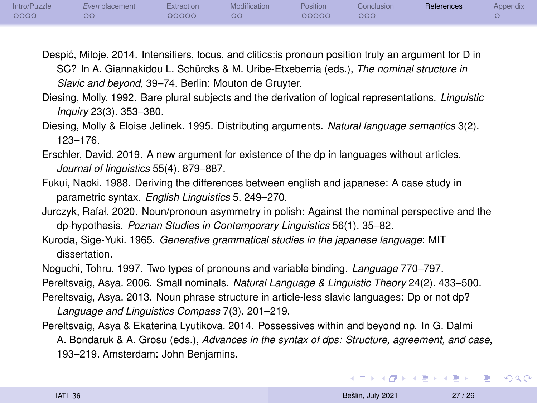| Intro/Puzzle | Even placement | Extraction | Modification | Position | <b>Conclusion</b>   | References | <b>Appendix</b> |
|--------------|----------------|------------|--------------|----------|---------------------|------------|-----------------|
| 0000         | ОC             | 00000      | $\circ$      | 00000    | $\circ \circ \circ$ |            |                 |

- <span id="page-26-7"></span>Despic, Miloje. 2014. Intensifiers, focus, and clitics:is pronoun position truly an argument for D in ´ SC? In A. Giannakidou L. Schürcks & M. Uribe-Etxeberria (eds.), *The nominal structure in Slavic and beyond*, 39–74. Berlin: Mouton de Gruyter.
- <span id="page-26-0"></span>Diesing, Molly. 1992. Bare plural subjects and the derivation of logical representations. *Linguistic Inquiry* 23(3). 353–380.
- <span id="page-26-1"></span>Diesing, Molly & Eloise Jelinek. 1995. Distributing arguments. *Natural language semantics* 3(2). 123–176.
- <span id="page-26-4"></span>Erschler, David. 2019. A new argument for existence of the dp in languages without articles. *Journal of linguistics* 55(4). 879–887.
- <span id="page-26-5"></span>Fukui, Naoki. 1988. Deriving the differences between english and japanese: A case study in parametric syntax. *English Linguistics* 5. 249–270.
- <span id="page-26-8"></span>Jurczyk, Rafał. 2020. Noun/pronoun asymmetry in polish: Against the nominal perspective and the dp-hypothesis. *Poznan Studies in Contemporary Linguistics* 56(1). 35–82.
- <span id="page-26-9"></span>Kuroda, Sige-Yuki. 1965. *Generative grammatical studies in the japanese language*: MIT dissertation.
- <span id="page-26-10"></span>Noguchi, Tohru. 1997. Two types of pronouns and variable binding. *Language* 770–797.

<span id="page-26-2"></span>Pereltsvaig, Asya. 2006. Small nominals. *Natural Language & Linguistic Theory* 24(2). 433–500.

- <span id="page-26-6"></span>Pereltsvaig, Asya. 2013. Noun phrase structure in article-less slavic languages: Dp or not dp? *Language and Linguistics Compass* 7(3). 201–219.
- <span id="page-26-3"></span>Pereltsvaig, Asya & Ekaterina Lyutikova. 2014. Possessives within and beyond np. In G. Dalmi A. Bondaruk & A. Grosu (eds.), *Advances in the syntax of dps: Structure, agreement, and case*, 193–219. Amsterdam: John Benjamins.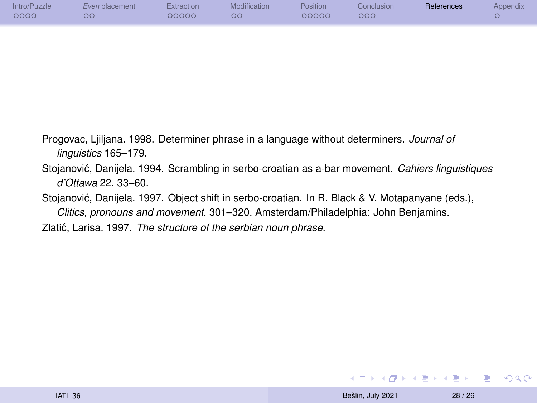| Intro/Puzzle<br>0000 | Even placement<br>ОĠ | Extraction<br>00000 | Modification<br>$\circ$ | <b>Position</b><br>00000 | Conclusion<br>$\circ \circ \circ$ | References | Appendix |
|----------------------|----------------------|---------------------|-------------------------|--------------------------|-----------------------------------|------------|----------|
|                      |                      |                     |                         |                          |                                   |            |          |

- <span id="page-27-2"></span>Progovac, Ljiljana. 1998. Determiner phrase in a language without determiners. *Journal of linguistics* 165–179.
- <span id="page-27-3"></span>Stojanovic, Danijela. 1994. Scrambling in serbo-croatian as a-bar movement. ´ *Cahiers linguistiques d'Ottawa* 22. 33–60.
- <span id="page-27-0"></span>Stojanović, Danijela. 1997. Object shift in serbo-croatian. In R. Black & V. Motapanyane (eds.), *Clitics, pronouns and movement*, 301–320. Amsterdam/Philadelphia: John Benjamins.
- <span id="page-27-1"></span>Zlatić, Larisa. 1997. The structure of the serbian noun phrase.